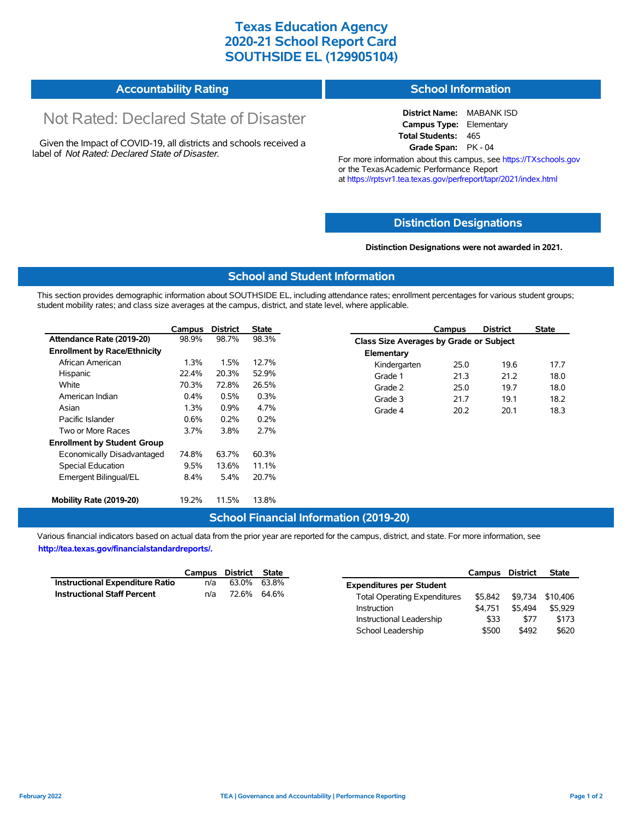### **Texas Education Agency 2020-21 School Report Card SOUTHSIDE EL (129905104)**

# **Accountability Rating**

# Not Rated: Declared State of Disaster

Given the Impact of COVID-19, all districts and schools received a label of *Not Rated: Declared State of Disaster.*

#### **School Information**

**District Name:** MABANK ISD **Campus Type:** Elementary **Total Students:** 465 **Grade Span:** PK - 04

For more information about this campus, see https://TXschools.gov or the Texas Academic Performance Report at https://rptsvr1.tea.texas.gov/perfreport/tapr/2021/index.html

#### **Distinction Designations**

**Distinction Designations were not awarded in 2021.**

School Leadership  $$500$  \$492 \$620

#### **School and Student Information**

This section provides demographic information about SOUTHSIDE EL, including attendance rates; enrollment percentages for various student groups; student mobility rates; and class size averages at the campus, district, and state level, where applicable.

|                                     | Campus | <b>District</b> | <b>State</b> |              | Campus                                  | <b>District</b> | <b>State</b> |  |  |
|-------------------------------------|--------|-----------------|--------------|--------------|-----------------------------------------|-----------------|--------------|--|--|
| Attendance Rate (2019-20)           | 98.9%  | 98.7%           | 98.3%        |              | Class Size Averages by Grade or Subject |                 |              |  |  |
| <b>Enrollment by Race/Ethnicity</b> |        |                 |              | Elementary   |                                         |                 |              |  |  |
| African American                    | 1.3%   | 1.5%            | 12.7%        | Kindergarten | 25.0                                    | 19.6            | 17.7         |  |  |
| Hispanic                            | 22.4%  | 20.3%           | 52.9%        | Grade 1      | 21.3                                    | 21.2            | 18.0         |  |  |
| White                               | 70.3%  | 72.8%           | 26.5%        | Grade 2      | 25.0                                    | 19.7            | 18.0         |  |  |
| American Indian                     | 0.4%   | 0.5%            | 0.3%         | Grade 3      | 21.7                                    | 19.1            | 18.2         |  |  |
| Asian                               | 1.3%   | 0.9%            | 4.7%         | Grade 4      | 20.2                                    | 20.1            | 18.3         |  |  |
| Pacific Islander                    | 0.6%   | 0.2%            | 0.2%         |              |                                         |                 |              |  |  |
| Two or More Races                   | 3.7%   | 3.8%            | 2.7%         |              |                                         |                 |              |  |  |
| <b>Enrollment by Student Group</b>  |        |                 |              |              |                                         |                 |              |  |  |
| Economically Disadvantaged          | 74.8%  | 63.7%           | 60.3%        |              |                                         |                 |              |  |  |
| Special Education                   | 9.5%   | 13.6%           | 11.1%        |              |                                         |                 |              |  |  |
| Emergent Bilingual/EL               | 8.4%   | 5.4%            | 20.7%        |              |                                         |                 |              |  |  |
|                                     |        |                 |              |              |                                         |                 |              |  |  |
| Mobility Rate (2019-20)             | 19.2%  | 11.5%           | 13.8%        |              |                                         |                 |              |  |  |

#### **School Financial Information (2019-20)**

Various financial indicators based on actual data from the prior year are reported for the campus, district, and state. For more information, see

**http://tea.texas.gov/financialstandardreports/.**

|                                    | Campus | District State |       |                                     | Campus  | <b>District</b> | <b>State</b>     |
|------------------------------------|--------|----------------|-------|-------------------------------------|---------|-----------------|------------------|
| Instructional Expenditure Ratio    | n/a    | 63.0%          | 63.8% | <b>Expenditures per Student</b>     |         |                 |                  |
| <b>Instructional Staff Percent</b> | n/a    | 72.6%          | 64.6% | <b>Total Operating Expenditures</b> | \$5.842 |                 | \$9,734 \$10,406 |
|                                    |        |                |       | Instruction                         | \$4.751 | \$5.494         | \$5.929          |
|                                    |        |                |       | Instructional Leadership            | \$33    | \$77            | \$173            |